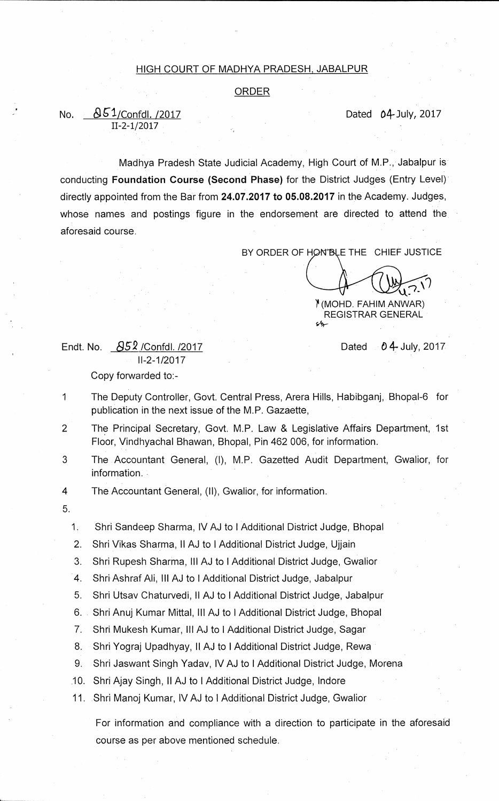## **HIGH COURT OF MADHYA PRADESH, JABALPUR**

**ORDER** 

## No. <u>**051/Confdl. /2017</u>** 2017 **Dated 043uly, 2017**</u>

**Madhya Pradesh State Judicial Academy, High Court of M.P., Jabalpur is conducting Foundation Course (Second Phase) for the District Judges (Entry Level) directly appointed from the Bar from 24.07.2017 to 05.08.2017 in the Academy. Judges, whose names and postings figure in the endorsement are directed to attend the aforesaid course.** 

BY ORDER OF HON'BLE THE CHIEF JUSTICE

**q7- 11 (MOHD. FAHIM ANWAR)** 

**REGISTRAR GENERAL** 

## **Endt. No. &***S2* **/Confdl. /2017 Dated 4- July, 2017 11-2-1/2017 Copy forwarded to:-**

**11-2-1/2017** 

**1 The Deputy Controller, Govt. Central Press, Arera Hills, Habibganj, Bhopal-6 for publication in the next issue of the M.P. Gazaette,** 

2 The Principal Secretary, Govt. M.P. Law & Legislative Affairs Department, 1st **Floor, Vindhyachal Bhawan, Bhopal, Pin 462 006, for information.** 

**3 The Accountant General, (I), M.P. Gazetted Audit Department, Gwalior, for information.** 

 $\overline{4}$ **The Accountant General, (II), Gwalior, for information.** 

**5.** 

**1. Shri Sandeep Sharma, IV AJ to !Additional District Judge, Bhopal** 

**2. Shri Vikas Sharma, II AJ to I Additional District Judge, Ujjain** 

**3. Shri Rupesh Sharma, Ill AJ to I Additional District Judge, Gwalior** 

**4. Shri Ashraf Ali, III AJ to I Additional District Judge, Jabalpur** 

**5. Shri Utsav Chaturvedi, II AJ to I Additional District Judge, Jabalpur** 

- **6. Shri Anuj Kumar Mittal, Ill AJ to I Additional District Judge, Bhopal**
- **7. Shri Mukesh Kumar, Ill AJ to I Additional District Judge, Sagar**
- **8. Shri Yograj Upadhyay, II AJ to I Additional District Judge, Rewa**
- **9. Shri Jaswant Singh Yadav, IV AJ to I Additional District Judge, Morena**
- **.10. Shri Ajay Singh, II AJ to I Additional District Judge, Indore**

**11. Shri Manoj Kumar, IV AJ to I Additional District Judge, Gwalior** 

**For information and compliance with a direction to participate in the aforesaid course as per above mentioned schedule.**